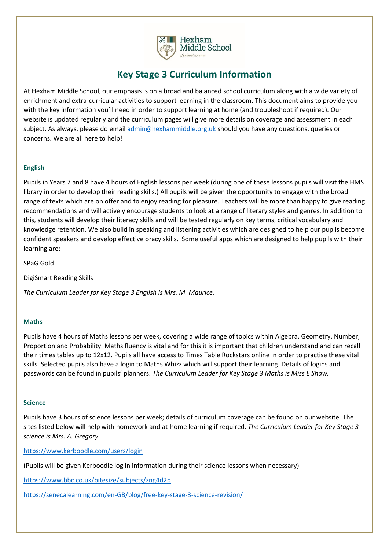

# **Key Stage 3 Curriculum Information**

At Hexham Middle School, our emphasis is on a broad and balanced school curriculum along with a wide variety of enrichment and extra-curricular activities to support learning in the classroom. This document aims to provide you with the key information you'll need in order to support learning at home (and troubleshoot if required). Our website is updated regularly and the curriculum pages will give more details on coverage and assessment in each subject. As always, please do emai[l admin@hexhammiddle.org.uk](mailto:admin@hexhammiddle.org.uk) should you have any questions, queries or concerns. We are all here to help!

# **English**

Pupils in Years 7 and 8 have 4 hours of English lessons per week (during one of these lessons pupils will visit the HMS library in order to develop their reading skills.) All pupils will be given the opportunity to engage with the broad range of texts which are on offer and to enjoy reading for pleasure. Teachers will be more than happy to give reading recommendations and will actively encourage students to look at a range of literary styles and genres. In addition to this, students will develop their literacy skills and will be tested regularly on key terms, critical vocabulary and knowledge retention. We also build in speaking and listening activities which are designed to help our pupils become confident speakers and develop effective oracy skills. Some useful apps which are designed to help pupils with their learning are:

SPaG Gold

DigiSmart Reading Skills

*The Curriculum Leader for Key Stage 3 English is Mrs. M. Maurice.*

#### **Maths**

Pupils have 4 hours of Maths lessons per week, covering a wide range of topics within Algebra, Geometry, Number, Proportion and Probability. Maths fluency is vital and for this it is important that children understand and can recall their times tables up to 12x12. Pupils all have access to Times Table Rockstars online in order to practise these vital skills. Selected pupils also have a login to Maths Whizz which will support their learning. Details of logins and passwords can be found in pupils' planners. *The Curriculum Leader for Key Stage 3 Maths is Miss E Shaw.*

#### **Science**

Pupils have 3 hours of science lessons per week; details of curriculum coverage can be found on our website. The sites listed below will help with homework and at-home learning if required. *The Curriculum Leader for Key Stage 3 science is Mrs. A. Gregory.* 

<https://www.kerboodle.com/users/login>

(Pupils will be given Kerboodle log in information during their science lessons when necessary)

<https://www.bbc.co.uk/bitesize/subjects/zng4d2p>

<https://senecalearning.com/en-GB/blog/free-key-stage-3-science-revision/>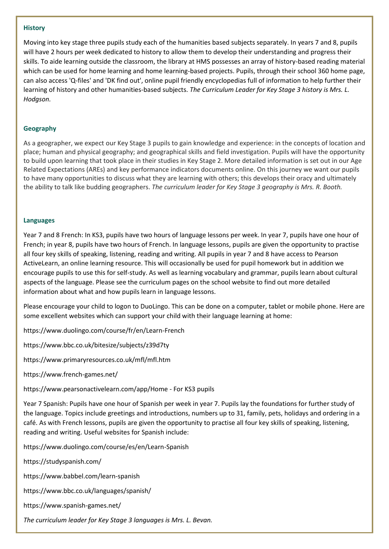#### **History**

Moving into key stage three pupils study each of the humanities based subjects separately. In years 7 and 8, pupils will have 2 hours per week dedicated to history to allow them to develop their understanding and progress their skills. To aide learning outside the classroom, the library at HMS possesses an array of history-based reading material which can be used for home learning and home learning-based projects. Pupils, through their school 360 home page, can also access 'Q-files' and 'DK find out', online pupil friendly encyclopedias full of information to help further their learning of history and other humanities-based subjects. *The Curriculum Leader for Key Stage 3 history is Mrs. L. Hodgson.*

# **Geography**

As a geographer, we expect our Key Stage 3 pupils to gain knowledge and experience: in the concepts of location and place; human and physical geography; and geographical skills and field investigation. Pupils will have the opportunity to build upon learning that took place in their studies in Key Stage 2. More detailed information is set out in our Age Related Expectations (AREs) and key performance indicators documents online. On this journey we want our pupils to have many opportunities to discuss what they are learning with others; this develops their oracy and ultimately the ability to talk like budding geographers. *The curriculum leader for Key Stage 3 geography is Mrs. R. Booth.*

# **Languages**

Year 7 and 8 French: In KS3, pupils have two hours of language lessons per week. In year 7, pupils have one hour of French; in year 8, pupils have two hours of French. In language lessons, pupils are given the opportunity to practise all four key skills of speaking, listening, reading and writing. All pupils in year 7 and 8 have access to Pearson ActiveLearn, an online learning resource. This will occasionally be used for pupil homework but in addition we encourage pupils to use this for self-study. As well as learning vocabulary and grammar, pupils learn about cultural aspects of the language. Please see the curriculum pages on the school website to find out more detailed information about what and how pupils learn in language lessons.

Please encourage your child to logon to DuoLingo. This can be done on a computer, tablet or mobile phone. Here are some excellent websites which can support your child with their language learning at home:

https://www.duolingo.com/course/fr/en/Learn-French

https://www.bbc.co.uk/bitesize/subjects/z39d7ty

https://www.primaryresources.co.uk/mfl/mfl.htm

https://www.french-games.net/

https://www.pearsonactivelearn.com/app/Home - For KS3 pupils

Year 7 Spanish: Pupils have one hour of Spanish per week in year 7. Pupils lay the foundations for further study of the language. Topics include greetings and introductions, numbers up to 31, family, pets, holidays and ordering in a café. As with French lessons, pupils are given the opportunity to practise all four key skills of speaking, listening, reading and writing. Useful websites for Spanish include:

https://www.duolingo.com/course/es/en/Learn-Spanish

https://studyspanish.com/

https://www.babbel.com/learn-spanish

https://www.bbc.co.uk/languages/spanish/

https://www.spanish-games.net/

*The curriculum leader for Key Stage 3 languages is Mrs. L. Bevan.*